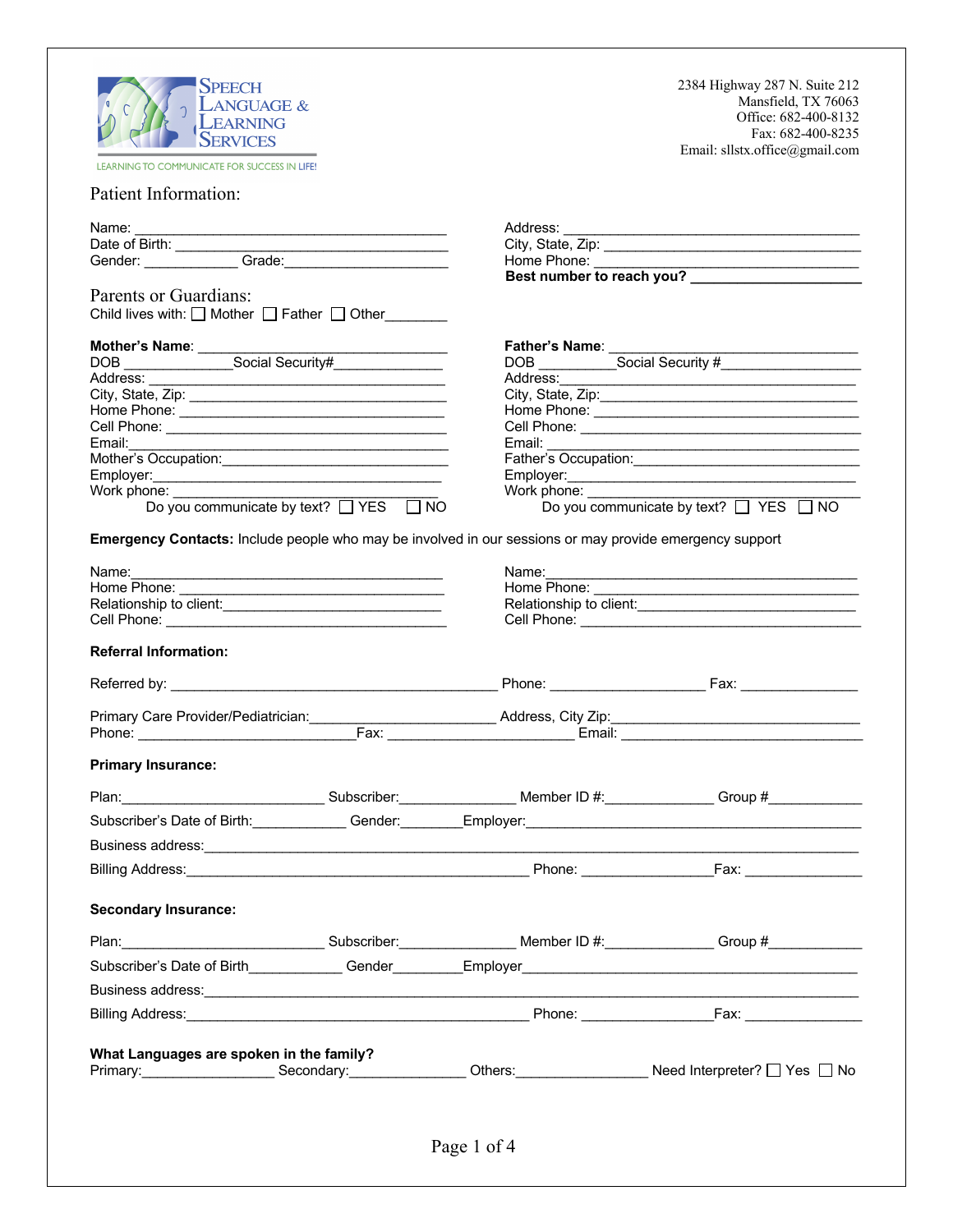| <b>SPEECH</b><br><b>LANGUAGE &amp;</b><br><b>LEARNING</b>                                                                                                                                                                                                                          |                                     | 2384 Highway 287 N. Suite 212<br>Mansfield, TX 76063<br>Office: 682-400-8132 |  |
|------------------------------------------------------------------------------------------------------------------------------------------------------------------------------------------------------------------------------------------------------------------------------------|-------------------------------------|------------------------------------------------------------------------------|--|
| <b>SERVICES</b>                                                                                                                                                                                                                                                                    |                                     | Fax: 682-400-8235                                                            |  |
| LEARNING TO COMMUNICATE FOR SUCCESS IN LIFE!                                                                                                                                                                                                                                       |                                     | Email: sllstx.office@gmail.com                                               |  |
| <b>Patient Information:</b>                                                                                                                                                                                                                                                        |                                     |                                                                              |  |
| Name:                                                                                                                                                                                                                                                                              |                                     |                                                                              |  |
| Date of Birth: Carrier Contract Contract Contract Contract Contract Contract Contract Contract Contract Contract Contract Contract Contract Contract Contract Contract Contract Contract Contract Contract Contract Contract C                                                     |                                     | City, State, Zip:                                                            |  |
|                                                                                                                                                                                                                                                                                    |                                     | Best number to reach you?                                                    |  |
| <b>Parents or Guardians:</b><br>Child lives with: $\Box$ Mother $\Box$ Father $\Box$ Other                                                                                                                                                                                         |                                     |                                                                              |  |
|                                                                                                                                                                                                                                                                                    |                                     |                                                                              |  |
|                                                                                                                                                                                                                                                                                    |                                     |                                                                              |  |
|                                                                                                                                                                                                                                                                                    |                                     |                                                                              |  |
|                                                                                                                                                                                                                                                                                    |                                     |                                                                              |  |
|                                                                                                                                                                                                                                                                                    |                                     |                                                                              |  |
| Email: $\qquad \qquad$                                                                                                                                                                                                                                                             | Email: $\qquad \qquad$              |                                                                              |  |
|                                                                                                                                                                                                                                                                                    |                                     |                                                                              |  |
|                                                                                                                                                                                                                                                                                    |                                     |                                                                              |  |
| Work phone: Victor More Control Control Control Control Control Control Control Control Control Control Control Control Control Control Control Control Control Control Control Control Control Control Control Control Contro<br>Do you communicate by text? $\Box$ YES $\Box$ NO | Work phone: ____________            | Do you communicate by text? $\Box$ YES $\Box$ NO                             |  |
| Emergency Contacts: Include people who may be involved in our sessions or may provide emergency support                                                                                                                                                                            |                                     |                                                                              |  |
| Name:                                                                                                                                                                                                                                                                              | Name:                               |                                                                              |  |
|                                                                                                                                                                                                                                                                                    |                                     |                                                                              |  |
| Relationship to client:<br><u> </u>                                                                                                                                                                                                                                                | Relationship to client:<br><u> </u> |                                                                              |  |
|                                                                                                                                                                                                                                                                                    |                                     |                                                                              |  |
| <b>Referral Information:</b>                                                                                                                                                                                                                                                       |                                     |                                                                              |  |
|                                                                                                                                                                                                                                                                                    |                                     |                                                                              |  |
|                                                                                                                                                                                                                                                                                    |                                     |                                                                              |  |
|                                                                                                                                                                                                                                                                                    |                                     |                                                                              |  |
| <b>Primary Insurance:</b>                                                                                                                                                                                                                                                          |                                     |                                                                              |  |
| Plan: Computer Subscriber: Computer D #: Computer Scroup # Computer Subscriber: Computer Subscriber:                                                                                                                                                                               |                                     |                                                                              |  |
| Subscriber's Date of Birth: Change Conder: Conder: Employer: Change Condensation Condensation Condensation Cond                                                                                                                                                                    |                                     |                                                                              |  |
|                                                                                                                                                                                                                                                                                    |                                     |                                                                              |  |
|                                                                                                                                                                                                                                                                                    |                                     |                                                                              |  |
|                                                                                                                                                                                                                                                                                    |                                     |                                                                              |  |
| <b>Secondary Insurance:</b>                                                                                                                                                                                                                                                        |                                     |                                                                              |  |
| Plan: Computer Subscriber: Computer Member ID #: Computer Scroup #                                                                                                                                                                                                                 |                                     |                                                                              |  |
|                                                                                                                                                                                                                                                                                    |                                     |                                                                              |  |
| Business address: experience and a series of the series of the series of the series of the series of the series of the series of the series of the series of the series of the series of the series of the series of the serie                                                     |                                     |                                                                              |  |
|                                                                                                                                                                                                                                                                                    |                                     |                                                                              |  |
|                                                                                                                                                                                                                                                                                    |                                     |                                                                              |  |
| What Languages are spoken in the family?<br>Primary: Secondary: Secondary: Others: Others: Need Interpreter? 2 Yes 2 No                                                                                                                                                            |                                     |                                                                              |  |
|                                                                                                                                                                                                                                                                                    | Page 1 of 4                         |                                                                              |  |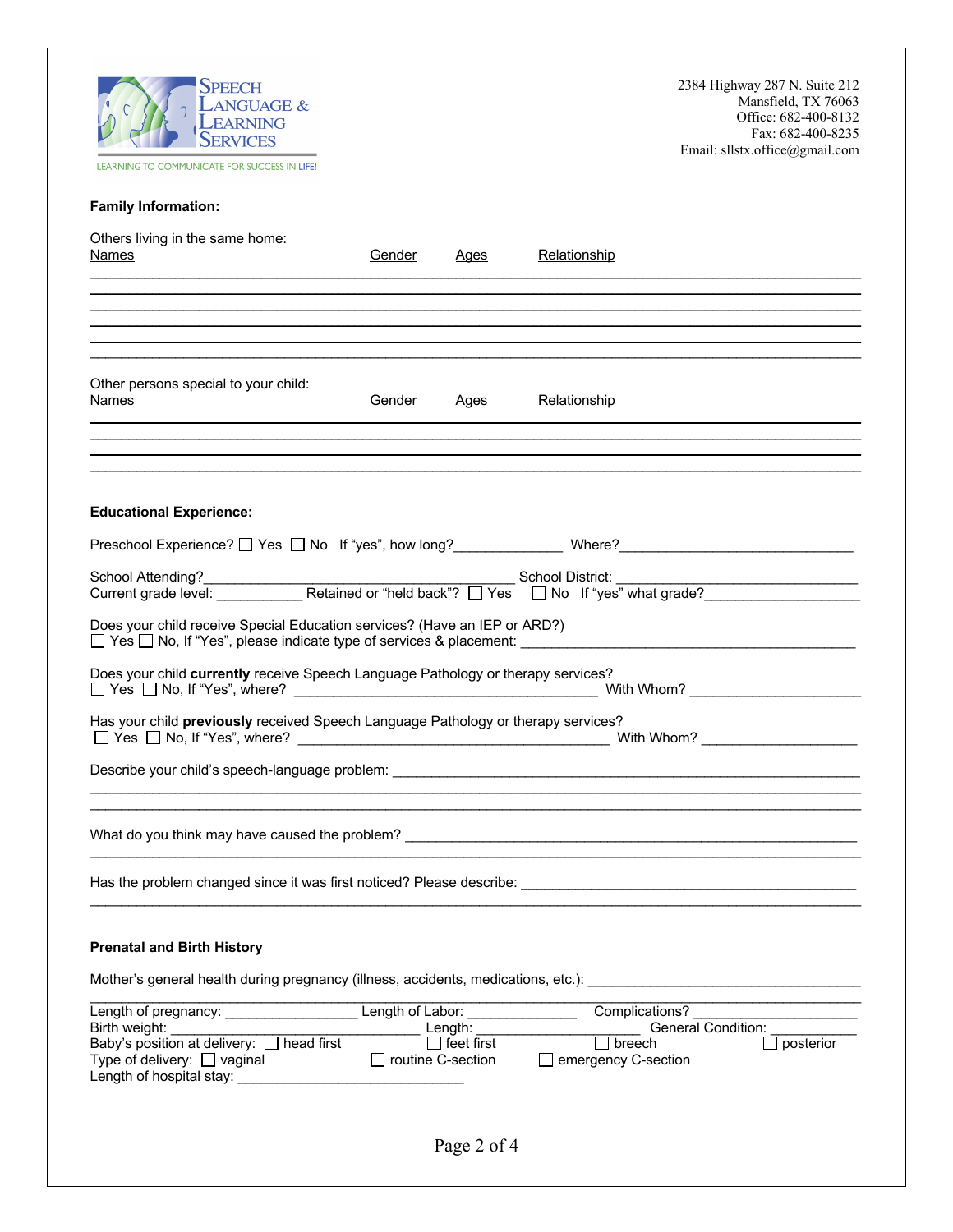| <b>SPEECH</b><br><b>LANGUAGE &amp;</b><br><b>LEARNING</b><br><b>SERVICES</b><br>LEARNING TO COMMUNICATE FOR SUCCESS IN LIFE!                                                      |        |                                          |                                             | 2384 Highway 287 N. Suite 212<br>Mansfield, TX 76063<br>Office: 682-400-8132<br>Fax: 682-400-8235<br>Email: sllstx.office@gmail.com |
|-----------------------------------------------------------------------------------------------------------------------------------------------------------------------------------|--------|------------------------------------------|---------------------------------------------|-------------------------------------------------------------------------------------------------------------------------------------|
| <b>Family Information:</b>                                                                                                                                                        |        |                                          |                                             |                                                                                                                                     |
| Others living in the same home:<br><b>Names</b>                                                                                                                                   | Gender | <u>Ages</u>                              | Relationship                                |                                                                                                                                     |
|                                                                                                                                                                                   |        |                                          |                                             |                                                                                                                                     |
| ,我们也不会有什么?""我们的人,我们也不会有什么?""我们的人,我们也不会有什么?""我们的人,我们也不会有什么?""我们的人,我们也不会有什么?""我们的人                                                                                                  |        |                                          |                                             |                                                                                                                                     |
| Other persons special to your child:<br><b>Names</b>                                                                                                                              | Gender | Ages                                     | Relationship                                |                                                                                                                                     |
|                                                                                                                                                                                   |        |                                          |                                             |                                                                                                                                     |
|                                                                                                                                                                                   |        |                                          |                                             |                                                                                                                                     |
| <b>Educational Experience:</b>                                                                                                                                                    |        |                                          |                                             |                                                                                                                                     |
| Preschool Experience? □ Yes □ No If "yes", how long?_______________ Where?_________________________                                                                               |        |                                          |                                             |                                                                                                                                     |
|                                                                                                                                                                                   |        |                                          |                                             |                                                                                                                                     |
| Does your child receive Special Education services? (Have an IEP or ARD?)<br>□ Yes □ No, If "Yes", please indicate type of services & placement: ________________________________ |        |                                          |                                             |                                                                                                                                     |
| Does your child currently receive Speech Language Pathology or therapy services?                                                                                                  |        |                                          |                                             |                                                                                                                                     |
| Has your child previously received Speech Language Pathology or therapy services?                                                                                                 |        |                                          |                                             |                                                                                                                                     |
| Describe your child's speech-language problem: __________________________________                                                                                                 |        |                                          |                                             |                                                                                                                                     |
|                                                                                                                                                                                   |        |                                          |                                             |                                                                                                                                     |
|                                                                                                                                                                                   |        |                                          |                                             |                                                                                                                                     |
|                                                                                                                                                                                   |        |                                          |                                             |                                                                                                                                     |
| <b>Prenatal and Birth History</b>                                                                                                                                                 |        |                                          |                                             |                                                                                                                                     |
|                                                                                                                                                                                   |        |                                          |                                             |                                                                                                                                     |
| Length of pregnancy: Length of Labor:<br>Birth weight: ___________                                                                                                                |        |                                          | Complications?                              |                                                                                                                                     |
| Baby's position at delivery:<br>Type of delivery:<br>$\Box$ vaginal $\Box$ rout                                                                                                   |        | $\Box$ feet first<br>□ routine C-section | $\Box$ breech<br>$\Box$ emergency C-section | $\Box$ posterior                                                                                                                    |
|                                                                                                                                                                                   |        | Page 2 of 4                              |                                             |                                                                                                                                     |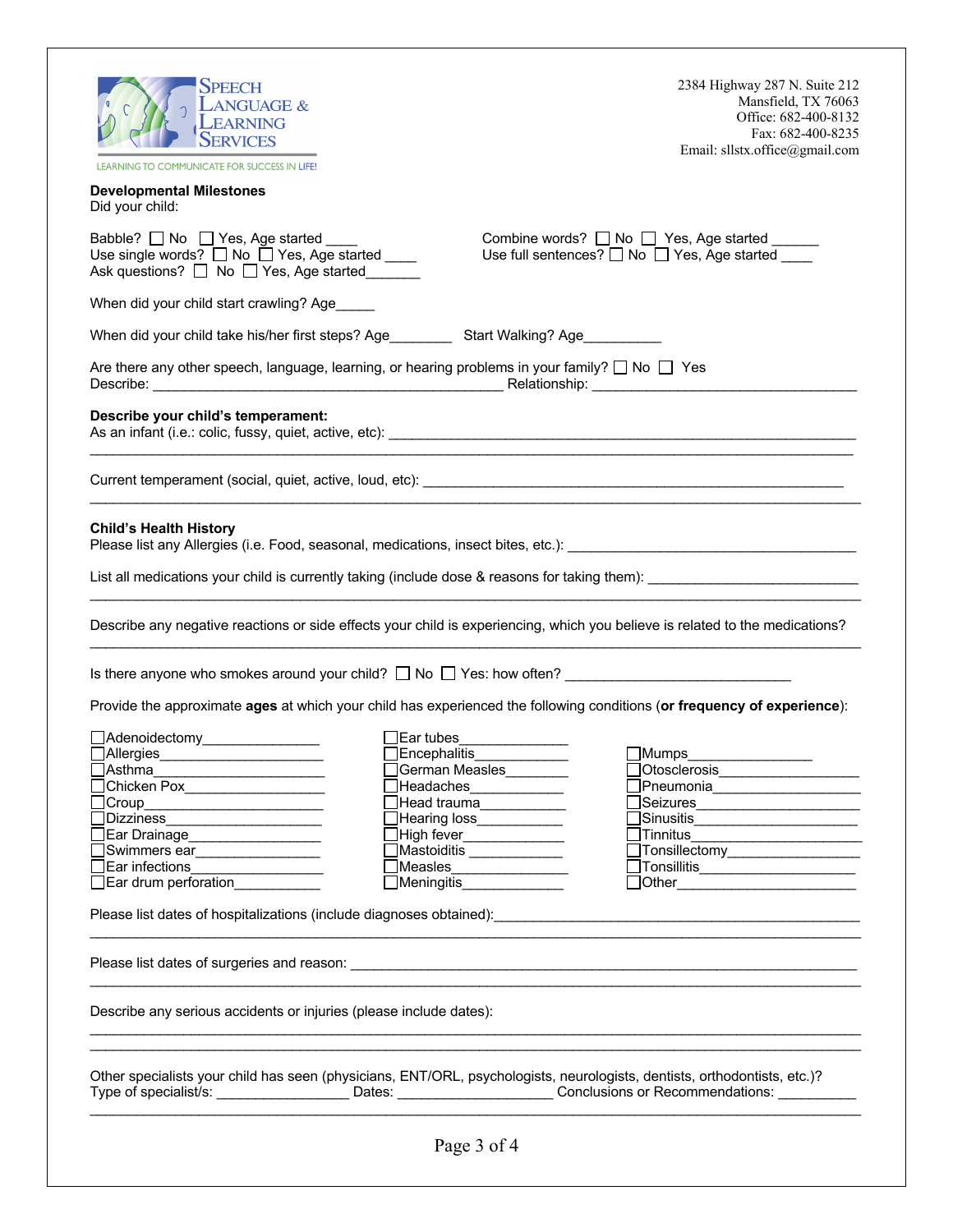| Speech<br><b>LANGUAGE &amp;</b><br>LEARNING<br><b>SERVICES</b><br>LEARNING TO COMMUNICATE FOR SUCCESS IN LIFE!                             |                                                                                                                                                                | 2384 Highway 287 N. Suite 212<br>Mansfield, TX 76063<br>Office: 682-400-8132<br>Fax: 682-400-8235<br>Email: sllstx.office@gmail.com |
|--------------------------------------------------------------------------------------------------------------------------------------------|----------------------------------------------------------------------------------------------------------------------------------------------------------------|-------------------------------------------------------------------------------------------------------------------------------------|
| <b>Developmental Milestones</b><br>Did your child:                                                                                         |                                                                                                                                                                |                                                                                                                                     |
| Babble? No Yes, Age started _____<br>Use single words? □ No □ Yes, Age started ____<br>Ask questions?<br>$\Box$ No $\Box$ Yes, Age started |                                                                                                                                                                | Combine words? <u>□ N</u> o □ Yes, Age started ______<br>Use full sentences? $\Box$ No $\Box$ Yes, Age started                      |
| When did your child start crawling? Age_____                                                                                               |                                                                                                                                                                |                                                                                                                                     |
| When did your child take his/her first steps? Age Start Walking? Age                                                                       |                                                                                                                                                                |                                                                                                                                     |
| Are there any other speech, language, learning, or hearing problems in your family? $\square$ No $\square$ Yes                             |                                                                                                                                                                |                                                                                                                                     |
| Describe your child's temperament:                                                                                                         |                                                                                                                                                                |                                                                                                                                     |
|                                                                                                                                            |                                                                                                                                                                |                                                                                                                                     |
| <b>Child's Health History</b>                                                                                                              |                                                                                                                                                                |                                                                                                                                     |
|                                                                                                                                            |                                                                                                                                                                | Describe any negative reactions or side effects your child is experiencing, which you believe is related to the medications?        |
|                                                                                                                                            |                                                                                                                                                                |                                                                                                                                     |
|                                                                                                                                            |                                                                                                                                                                | Provide the approximate ages at which your child has experienced the following conditions (or frequency of experience):             |
| □Adenoidectomy_____________<br>$\Box$ Allergies $\_$<br>]Asthma<br>]Dizziness________________________<br>_Ear Drainage__________________   | Ear tubes<br>Encephalitis<br>German Measles<br>Headaches_____________<br>∃Head trauma___________<br>$\Box$ Hearing loss____________<br>High fever_____________ | <b>Mumps</b><br>]Pneumonia_____________________<br>□Sinusitis_________________________                                              |
| _Swimmers ear_________________<br>TEar infections_________________                                                                         | Mastoiditis<br>_Measles________________                                                                                                                        | Tonsillectomy__________________<br>$\Box$ Tonsillitis $\_\_\_\_\_\_\_\_\_\_\_\_\_$                                                  |
| Ear drum perforation <b>Ear</b>                                                                                                            | $\Box$ Meningitis                                                                                                                                              | Dother ___________________________                                                                                                  |
|                                                                                                                                            |                                                                                                                                                                |                                                                                                                                     |
|                                                                                                                                            |                                                                                                                                                                |                                                                                                                                     |
| Describe any serious accidents or injuries (please include dates):                                                                         |                                                                                                                                                                |                                                                                                                                     |
| Other specialists your child has seen (physicians, ENT/ORL, psychologists, neurologists, dentists, orthodontists, etc.)?                   |                                                                                                                                                                | Type of specialist/s: _______________________Dates: _________________________Conclusions or Recommendations: _______________        |